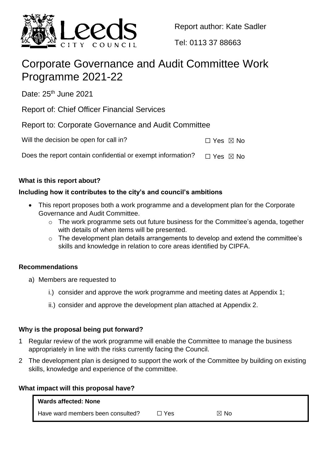

Report author: Kate Sadler

Tel: 0113 37 88663

# Corporate Governance and Audit Committee Work Programme 2021-22

Date: 25<sup>th</sup> June 2021

Report of: Chief Officer Financial Services

Report to: Corporate Governance and Audit Committee

| Will the decision be open for call in? | $\Box$ Yes $\boxtimes$ No |
|----------------------------------------|---------------------------|
|----------------------------------------|---------------------------|

Does the report contain confidential or exempt information?  $\Box$  Yes  $\boxtimes$  No

## **What is this report about?**

## **Including how it contributes to the city's and council's ambitions**

- This report proposes both a work programme and a development plan for the Corporate Governance and Audit Committee.
	- o The work programme sets out future business for the Committee's agenda, together with details of when items will be presented.
	- o The development plan details arrangements to develop and extend the committee's skills and knowledge in relation to core areas identified by CIPFA.

## **Recommendations**

- a) Members are requested to
	- i.) consider and approve the work programme and meeting dates at Appendix 1;
	- ii.) consider and approve the development plan attached at Appendix 2.

## **Why is the proposal being put forward?**

- 1 Regular review of the work programme will enable the Committee to manage the business appropriately in line with the risks currently facing the Council.
- 2 The development plan is designed to support the work of the Committee by building on existing skills, knowledge and experience of the committee.

## **What impact will this proposal have?**

| <b>Wards affected: None</b>       |     |      |  |
|-----------------------------------|-----|------|--|
| Have ward members been consulted? | Yes | ⊠ No |  |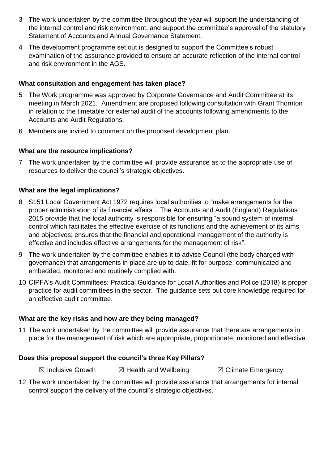- 3 The work undertaken by the committee throughout the year will support the understanding of the internal control and risk environment, and support the committee's approval of the statutory Statement of Accounts and Annual Governance Statement.
- 4 The development programme set out is designed to support the Committee's robust examination of the assurance provided to ensure an accurate reflection of the internal control and risk environment in the AGS.

## **What consultation and engagement has taken place?**

- 5 The Work programme was approved by Corporate Governance and Audit Committee at its meeting in March 2021. Amendment are proposed following consultation with Grant Thornton in relation to the timetable for external audit of the accounts following amendments to the Accounts and Audit Regulations.
- 6 Members are invited to comment on the proposed development plan.

## **What are the resource implications?**

7 The work undertaken by the committee will provide assurance as to the appropriate use of resources to deliver the council's strategic objectives.

## **What are the legal implications?**

- 8 S151 Local Government Act 1972 requires local authorities to "make arrangements for the proper administration of its financial affairs". The Accounts and Audit (England) Regulations 2015 provide that the local authority is responsible for ensuring "a sound system of internal control which facilitates the effective exercise of its functions and the achievement of its aims and objectives; ensures that the financial and operational management of the authority is effective and includes effective arrangements for the management of risk".
- 9 The work undertaken by the committee enables it to advise Council (the body charged with governance) that arrangements in place are up to date, fit for purpose, communicated and embedded, monitored and routinely complied with.
- 10 CIPFA's Audit Committees: Practical Guidance for Local Authorities and Police (2018) is proper practice for audit committees in the sector. The guidance sets out core knowledge required for an effective audit committee.

#### **What are the key risks and how are they being managed?**

11 The work undertaken by the committee will provide assurance that there are arrangements in place for the management of risk which are appropriate, proportionate, monitored and effective.

#### **Does this proposal support the council's three Key Pillars?**

- $\boxtimes$  Inclusive Growth  $\boxtimes$  Health and Wellbeing  $\boxtimes$  Climate Emergency
- 12 The work undertaken by the committee will provide assurance that arrangements for internal control support the delivery of the council's strategic objectives.